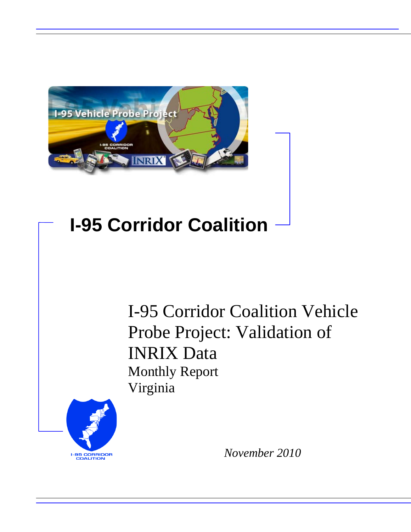

## **I-95 Corridor Coalition**

I-95 Corridor Coalition Vehicle Probe Project: Validation of INRIX Data Monthly Report Virginia



*November 2010*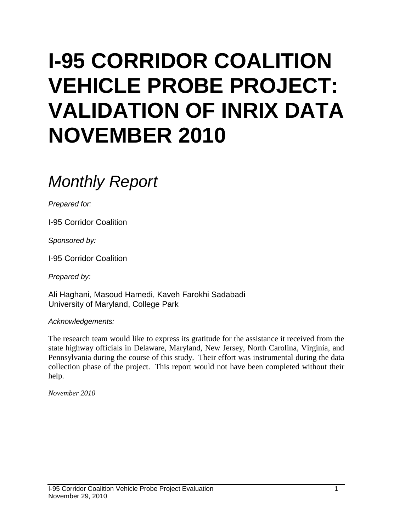# **I-95 CORRIDOR COALITION VEHICLE PROBE PROJECT: VALIDATION OF INRIX DATA NOVEMBER 2010**

## *Monthly Report*

*Prepared for:*

I-95 Corridor Coalition

*Sponsored by:*

I-95 Corridor Coalition

*Prepared by:*

Ali Haghani, Masoud Hamedi, Kaveh Farokhi Sadabadi University of Maryland, College Park

*Acknowledgements:*

The research team would like to express its gratitude for the assistance it received from the state highway officials in Delaware, Maryland, New Jersey, North Carolina, Virginia, and Pennsylvania during the course of this study. Their effort was instrumental during the data collection phase of the project. This report would not have been completed without their help.

*November 2010*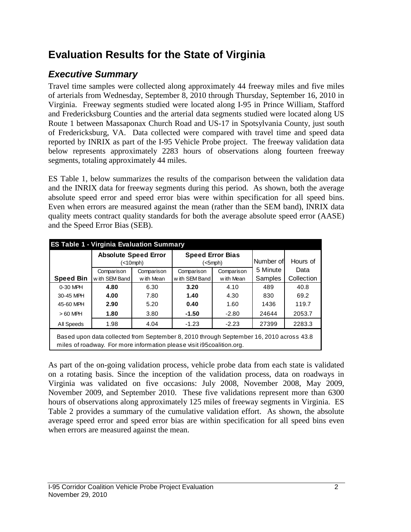## **Evaluation Results for the State of Virginia**

## *Executive Summary*

Travel time samples were collected along approximately 44 freeway miles and five miles of arterials from Wednesday, September 8, 2010 through Thursday, September 16, 2010 in Virginia. Freeway segments studied were located along I-95 in Prince William, Stafford and Fredericksburg Counties and the arterial data segments studied were located along US Route 1 between Massaponax Church Road and US-17 in Spotsylvania County, just south of Fredericksburg, VA. Data collected were compared with travel time and speed data reported by INRIX as part of the I-95 Vehicle Probe project. The freeway validation data below represents approximately 2283 hours of observations along fourteen freeway segments, totaling approximately 44 miles.

ES Table 1, below summarizes the results of the comparison between the validation data and the INRIX data for freeway segments during this period. As shown, both the average absolute speed error and speed error bias were within specification for all speed bins. Even when errors are measured against the mean (rather than the SEM band), INRIX data quality meets contract quality standards for both the average absolute speed error (AASE) and the Speed Error Bias (SEB).

| <b>ES Table 1 - Virginia Evaluation Summary</b> |                                                                                                                                                                  |            |                                    |            |           |            |
|-------------------------------------------------|------------------------------------------------------------------------------------------------------------------------------------------------------------------|------------|------------------------------------|------------|-----------|------------|
|                                                 | <b>Absolute Speed Error</b><br>$(<10$ mph $)$                                                                                                                    |            | <b>Speed Error Bias</b><br>(<5mph) |            | Number of | Hours of   |
|                                                 | Comparison                                                                                                                                                       | Comparison | Comparison                         | Comparison | 5 Minute  | Data       |
| <b>Speed Bin</b>                                | with SEM Band                                                                                                                                                    | with Mean  | with SEM Band                      | w ith Mean | Samples   | Collection |
| 0-30 MPH                                        | 4.80<br>6.30                                                                                                                                                     |            | 3.20                               | 4.10       | 489       | 40.8       |
| 30-45 MPH                                       | 4.00                                                                                                                                                             | 7.80       | 1.40                               | 4.30       | 830       | 69.2       |
| 45-60 MPH                                       | 2.90                                                                                                                                                             | 5.20       | 0.40                               | 1.60       | 1436      | 119.7      |
| $>60$ MPH                                       | 1.80                                                                                                                                                             | 3.80       | $-1.50$                            | $-2.80$    | 24644     | 2053.7     |
| All Speeds                                      | 1.98                                                                                                                                                             | 4.04       | $-1.23$                            | $-2.23$    | 27399     | 2283.3     |
|                                                 | Based upon data collected from September 8, 2010 through September 16, 2010 across 43.8<br>miles of roadway. For more information please visit i95coalition.org. |            |                                    |            |           |            |

As part of the on-going validation process, vehicle probe data from each state is validated on a rotating basis. Since the inception of the validation process, data on roadways in Virginia was validated on five occasions: July 2008, November 2008, May 2009, November 2009, and September 2010. These five validations represent more than 6300 hours of observations along approximately 125 miles of freeway segments in Virginia. ES Table 2 provides a summary of the cumulative validation effort. As shown, the absolute average speed error and speed error bias are within specification for all speed bins even when errors are measured against the mean.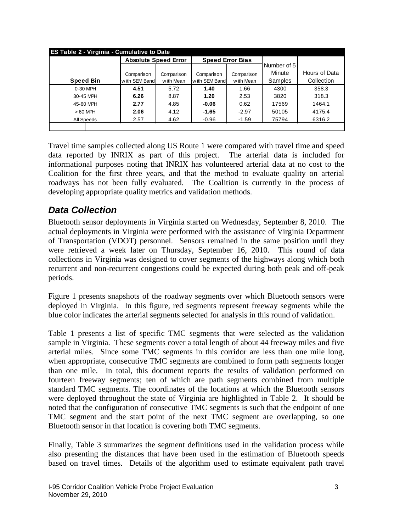|                  | <b>Absolute Speed Error</b> |                          | <b>Speed Error Bias</b> |            |             |               |  |
|------------------|-----------------------------|--------------------------|-------------------------|------------|-------------|---------------|--|
|                  |                             |                          |                         |            | Number of 5 |               |  |
|                  | Comparison                  | Comparison<br>Comparison |                         | Comparison | Minute      | Hours of Data |  |
| <b>Speed Bin</b> | with SEM Band               | w ith Mean               | with SEM Band           | w ith Mean | Samples     | Collection    |  |
| $0-30$ MPH       | 4.51                        | 5.72                     | 1.40                    | 1.66       | 4300        | 358.3         |  |
| 30-45 MPH        | 6.26                        | 8.87                     | 1.20                    | 2.53       | 3820        | 318.3         |  |
| 45-60 MPH        | 2.77                        | 4.85                     | $-0.06$                 | 0.62       | 17569       | 1464.1        |  |
| $>60$ MPH        | 2.06                        | 4.12                     | $-1.65$                 | $-2.97$    | 50105       | 4175.4        |  |
| All Speeds       | 2.57                        | 4.62                     | $-0.96$                 | $-1.59$    | 75794       | 6316.2        |  |

Travel time samples collected along US Route 1 were compared with travel time and speed data reported by INRIX as part of this project. The arterial data is included for informational purposes noting that INRIX has volunteered arterial data at no cost to the Coalition for the first three years, and that the method to evaluate quality on arterial roadways has not been fully evaluated. The Coalition is currently in the process of developing appropriate quality metrics and validation methods.

### *Data Collection*

Bluetooth sensor deployments in Virginia started on Wednesday, September 8, 2010. The actual deployments in Virginia were performed with the assistance of Virginia Department of Transportation (VDOT) personnel. Sensors remained in the same position until they were retrieved a week later on Thursday, September 16, 2010. This round of data collections in Virginia was designed to cover segments of the highways along which both recurrent and non-recurrent congestions could be expected during both peak and off-peak periods.

Figure 1 presents snapshots of the roadway segments over which Bluetooth sensors were deployed in Virginia. In this figure, red segments represent freeway segments while the blue color indicates the arterial segments selected for analysis in this round of validation.

Table 1 presents a list of specific TMC segments that were selected as the validation sample in Virginia. These segments cover a total length of about 44 freeway miles and five arterial miles. Since some TMC segments in this corridor are less than one mile long, when appropriate, consecutive TMC segments are combined to form path segments longer than one mile. In total, this document reports the results of validation performed on fourteen freeway segments; ten of which are path segments combined from multiple standard TMC segments. The coordinates of the locations at which the Bluetooth sensors were deployed throughout the state of Virginia are highlighted in Table 2. It should be noted that the configuration of consecutive TMC segments is such that the endpoint of one TMC segment and the start point of the next TMC segment are overlapping, so one Bluetooth sensor in that location is covering both TMC segments.

Finally, Table 3 summarizes the segment definitions used in the validation process while also presenting the distances that have been used in the estimation of Bluetooth speeds based on travel times. Details of the algorithm used to estimate equivalent path travel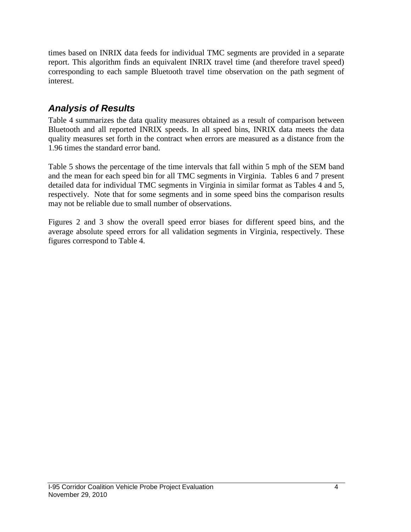times based on INRIX data feeds for individual TMC segments are provided in a separate report. This algorithm finds an equivalent INRIX travel time (and therefore travel speed) corresponding to each sample Bluetooth travel time observation on the path segment of interest.

## *Analysis of Results*

Table 4 summarizes the data quality measures obtained as a result of comparison between Bluetooth and all reported INRIX speeds. In all speed bins, INRIX data meets the data quality measures set forth in the contract when errors are measured as a distance from the 1.96 times the standard error band.

Table 5 shows the percentage of the time intervals that fall within 5 mph of the SEM band and the mean for each speed bin for all TMC segments in Virginia. Tables 6 and 7 present detailed data for individual TMC segments in Virginia in similar format as Tables 4 and 5, respectively. Note that for some segments and in some speed bins the comparison results may not be reliable due to small number of observations.

Figures 2 and 3 show the overall speed error biases for different speed bins, and the average absolute speed errors for all validation segments in Virginia, respectively. These figures correspond to Table 4.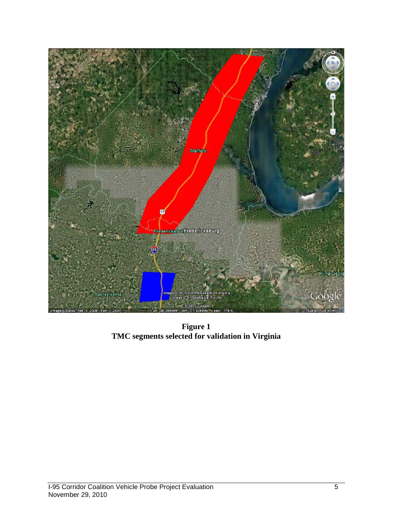

**Figure 1 TMC segments selected for validation in Virginia**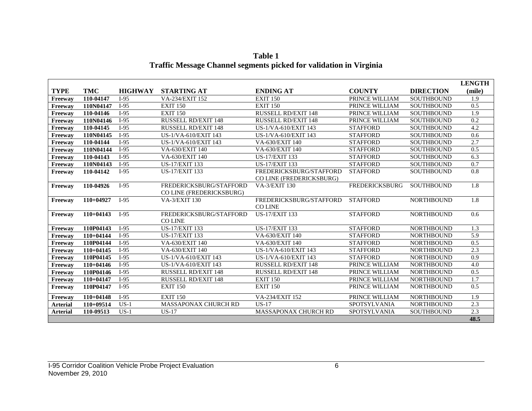|                 |             |                |                                                     |                                                     |                       |                   | <b>LENGTH</b> |
|-----------------|-------------|----------------|-----------------------------------------------------|-----------------------------------------------------|-----------------------|-------------------|---------------|
| <b>TYPE</b>     | <b>TMC</b>  | <b>HIGHWAY</b> | <b>STARTING AT</b>                                  | <b>ENDING AT</b>                                    | <b>COUNTY</b>         | <b>DIRECTION</b>  | (mile)        |
| Freeway         | 110-04147   | $I-95$         | VA-234/EXIT 152                                     | <b>EXIT 150</b>                                     | PRINCE WILLIAM        | <b>SOUTHBOUND</b> | 1.9           |
| Freeway         | 110N04147   | $I-95$         | <b>EXIT 150</b>                                     | <b>EXIT 150</b>                                     | PRINCE WILLIAM        | <b>SOUTHBOUND</b> | 0.5           |
| Freeway         | 110-04146   | $I-95$         | <b>EXIT 150</b>                                     | <b>RUSSELL RD/EXIT 148</b>                          | PRINCE WILLIAM        | <b>SOUTHBOUND</b> | 1.9           |
| Freeway         | 110N04146   | $I-95$         | <b>RUSSELL RD/EXIT 148</b>                          | <b>RUSSELL RD/EXIT 148</b>                          | PRINCE WILLIAM        | <b>SOUTHBOUND</b> | 0.2           |
| Freeway         | 110-04145   | $I-95$         | <b>RUSSELL RD/EXIT 148</b>                          | US-1/VA-610/EXIT 143                                | <b>STAFFORD</b>       | <b>SOUTHBOUND</b> | 4.2           |
| Freeway         | 110N04145   | $I-95$         | US-1/VA-610/EXIT 143                                | US-1/VA-610/EXIT 143                                | <b>STAFFORD</b>       | <b>SOUTHBOUND</b> | 0.6           |
| Freeway         | 110-04144   | $I-95$         | US-1/VA-610/EXIT 143                                | VA-630/EXIT 140                                     | <b>STAFFORD</b>       | <b>SOUTHBOUND</b> | 2.7           |
| Freeway         | 110N04144   | $I-95$         | VA-630/EXIT 140                                     | VA-630/EXIT 140                                     | <b>STAFFORD</b>       | <b>SOUTHBOUND</b> | 0.5           |
| Freeway         | 110-04143   | $I-95$         | VA-630/EXIT 140                                     | <b>US-17/EXIT 133</b>                               | <b>STAFFORD</b>       | <b>SOUTHBOUND</b> | 6.3           |
| Freeway         | 110N04143   | $I-95$         | <b>US-17/EXIT 133</b>                               | <b>US-17/EXIT 133</b>                               | <b>STAFFORD</b>       | <b>SOUTHBOUND</b> | 0.7           |
| Freeway         | 110-04142   | $I-95$         | <b>US-17/EXIT 133</b>                               | FREDERICKSBURG/STAFFORD<br>CO LINE (FREDERICKSBURG) | <b>STAFFORD</b>       | <b>SOUTHBOUND</b> | 0.8           |
| Freeway         | 110-04926   | $I-95$         | FREDERICKSBURG/STAFFORD<br>CO LINE (FREDERICKSBURG) | <b>VA-3/EXIT 130</b>                                | <b>FREDERICKSBURG</b> | <b>SOUTHBOUND</b> | 1.8           |
| Freeway         | $110+04927$ | $I-95$         | <b>VA-3/EXIT 130</b>                                | FREDERICKSBURG/STAFFORD<br><b>CO LINE</b>           | <b>STAFFORD</b>       | <b>NORTHBOUND</b> | 1.8           |
| Freeway         | $110+04143$ | $I-95$         | FREDERICKSBURG/STAFFORD<br><b>CO LINE</b>           | <b>US-17/EXIT 133</b>                               | <b>STAFFORD</b>       | <b>NORTHBOUND</b> | 0.6           |
| Freeway         | 110P04143   | $I-95$         | <b>US-17/EXIT 133</b>                               | <b>US-17/EXIT 133</b>                               | <b>STAFFORD</b>       | <b>NORTHBOUND</b> | 1.3           |
| Freeway         | $110+04144$ | $I-95$         | <b>US-17/EXIT 133</b>                               | VA-630/EXIT 140                                     | <b>STAFFORD</b>       | <b>NORTHBOUND</b> | 5.9           |
| Freeway         | 110P04144   | $I-95$         | VA-630/EXIT 140                                     | VA-630/EXIT 140                                     | <b>STAFFORD</b>       | <b>NORTHBOUND</b> | 0.5           |
| Freeway         | $110+04145$ | $I-95$         | VA-630/EXIT 140                                     | US-1/VA-610/EXIT 143                                | <b>STAFFORD</b>       | <b>NORTHBOUND</b> | 2.3           |
| Freeway         | 110P04145   | $I-95$         | US-1/VA-610/EXIT 143                                | US-1/VA-610/EXIT 143                                | <b>STAFFORD</b>       | <b>NORTHBOUND</b> | 0.9           |
| Freeway         | $110+04146$ | $I-95$         | US-1/VA-610/EXIT 143                                | <b>RUSSELL RD/EXIT 148</b>                          | PRINCE WILLIAM        | <b>NORTHBOUND</b> | 4.0           |
| Freeway         | 110P04146   | $I-95$         | RUSSELL RD/EXIT 148                                 | <b>RUSSELL RD/EXIT 148</b>                          | PRINCE WILLIAM        | <b>NORTHBOUND</b> | 0.5           |
| Freeway         | $110+04147$ | $I-95$         | RUSSELL RD/EXIT 148                                 | <b>EXIT 150</b>                                     | PRINCE WILLIAM        | <b>NORTHBOUND</b> | 1.7           |
| Freeway         | 110P04147   | $I-95$         | <b>EXIT 150</b>                                     | <b>EXIT 150</b>                                     | PRINCE WILLIAM        | <b>NORTHBOUND</b> | 0.5           |
| Freeway         | $110+04148$ | $I-95$         | <b>EXIT 150</b>                                     | VA-234/EXIT 152                                     | PRINCE WILLIAM        | <b>NORTHBOUND</b> | 1.9           |
| <b>Arterial</b> | $110+09514$ | $US-1$         | <b>MASSAPONAX CHURCH RD</b>                         | $US-17$                                             | <b>SPOTSYLVANIA</b>   | <b>NORTHBOUND</b> | 2.3           |
| <b>Arterial</b> | 110-09513   | $US-1$         | $US-17$                                             | <b>MASSAPONAX CHURCH RD</b>                         | <b>SPOTSYLVANIA</b>   | <b>SOUTHBOUND</b> | 2.3           |
|                 |             |                |                                                     |                                                     |                       |                   | 48.5          |

**Table 1 Traffic Message Channel segments picked for validation in Virginia**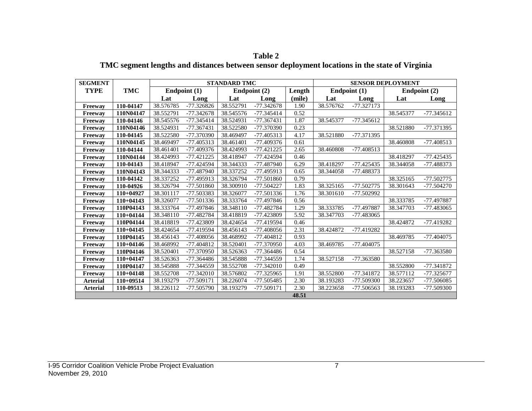| <b>SEGMENT</b>  |             |           |              | <b>STANDARD TMC</b> |              |        |           |                | <b>SENSOR DEPLOYMENT</b> |              |
|-----------------|-------------|-----------|--------------|---------------------|--------------|--------|-----------|----------------|--------------------------|--------------|
| TYPE            | <b>TMC</b>  |           | Endpoint (1) |                     | Endpoint (2) | Length |           | Endpoint $(1)$ |                          | Endpoint (2) |
|                 |             | Lat       | Long         | Lat                 | Long         | (mile) | Lat       | Long           | Lat                      | Long         |
| Freeway         | 110-04147   | 38.576785 | $-77.326826$ | 38.552791           | $-77.342678$ | 1.90   | 38.576762 | -77.327173     |                          |              |
| Freeway         | 110N04147   | 38.552791 | -77.342678   | 38.545576           | $-77.345414$ | 0.52   |           |                | 38.545377                | $-77.345612$ |
| Freeway         | 110-04146   | 38.545576 | -77.345414   | 38.524931           | -77.367431   | 1.87   | 38.545377 | $-77.345612$   |                          |              |
| Freeway         | 110N04146   | 38.524931 | -77.367431   | 38.522580           | -77.370390   | 0.23   |           |                | 38.521880                | -77.371395   |
| Freeway         | 110-04145   | 38.522580 | -77.370390   | 38.469497           | $-77.405313$ | 4.17   | 38.521880 | -77.371395     |                          |              |
| Freeway         | 110N04145   | 38.469497 | -77.405313   | 38.461401           | $-77.409376$ | 0.61   |           |                | 38.460808                | $-77.408513$ |
| Freeway         | 110-04144   | 38.461401 | -77.409376   | 38.424993           | $-77.421225$ | 2.65   | 38.460808 | $-77.408513$   |                          |              |
| Freeway         | 110N04144   | 38.424993 | $-77.421225$ | 38.418947           | $-77.424594$ | 0.46   |           |                | 38.418297                | $-77.425435$ |
| Freeway         | 110-04143   | 38.418947 | -77.424594   | 38.344333           | -77.487940   | 6.29   | 38.418297 | $-77.425435$   | 38.344058                | -77.488373   |
| Freeway         | 110N04143   | 38.344333 | -77.487940   | 38.337252           | -77.495913   | 0.65   | 38.344058 | -77.488373     |                          |              |
| Freeway         | 110-04142   | 38.337252 | -77.495913   | 38.326794           | -77.501860   | 0.79   |           |                | 38.325165                | -77.502775   |
| Freeway         | 110-04926   | 38.326794 | -77.501860   | 38.300910           | -77.504227   | 1.83   | 38.325165 | $-77.502775$   | 38.301643                | $-77.504270$ |
| Freeway         | 110+04927   | 38.301117 | -77.503383   | 38.326077           | -77.501336   | 1.76   | 38.301610 | -77.502992     |                          |              |
| Freeway         | $110+04143$ | 38.326077 | -77.501336   | 38.333764           | -77.497846   | 0.56   |           |                | 38.333785                | -77.497887   |
| Freeway         | 110P04143   | 38.333764 | -77.497846   | 38.348110           | -77.482784   | 1.29   | 38.333785 | -77.497887     | 38.347703                | -77.483065   |
| Freeway         | 110+04144   | 38.348110 | -77.482784   | 38.418819           | -77.423809   | 5.92   | 38.347703 | -77.483065     |                          |              |
| Freeway         | 110P04144   | 38.418819 | -77.423809   | 38.424654           | -77.419594   | 0.46   |           |                | 38.424872                | $-77.419282$ |
| Freeway         | $110+04145$ | 38.424654 | -77.419594   | 38.456143           | $-77.408056$ | 2.31   | 38.424872 | -77.419282     |                          |              |
| Freeway         | 110P04145   | 38.456143 | -77.408056   | 38.468992           | $-77.404812$ | 0.93   |           |                | 38.469785                | -77.404075   |
| Freeway         | $110+04146$ | 38.468992 | $-77.404812$ | 38.520401           | -77.370950   | 4.03   | 38.469785 | -77.404075     |                          |              |
| Freeway         | 110P04146   | 38.520401 | -77.370950   | 38.526363           | $-77.364486$ | 0.54   |           |                | 38.527158                | -77.363580   |
| Freeway         | $110+04147$ | 38.526363 | -77.364486   | 38.545888           | -77.344559   | 1.74   | 38.527158 | -77.363580     |                          |              |
| Freeway         | 110P04147   | 38.545888 | -77.344559   | 38.552708           | $-77.342010$ | 0.49   |           |                | 38.552800                | -77.341872   |
| Freeway         | $110+04148$ | 38.552708 | $-77.342010$ | 38.576802           | -77.325965   | 1.91   | 38.552800 | $-77.341872$   | 38.577112                | -77.325677   |
| <b>Arterial</b> | 110+09514   | 38.193279 | -77.509171   | 38.226074           | -77.505485   | 2.30   | 38.193283 | -77.509300     | 38.223657                | -77.506085   |
| <b>Arterial</b> | 110-09513   | 38.226112 | -77.505790   | 38.193279           | -77.509171   | 2.30   | 38.223658 | -77.506563     | 38.193283                | -77.509300   |
|                 |             |           |              |                     |              | 48.51  |           |                |                          |              |

**Table 2 TMC segment lengths and distances between sensor deployment locations in the state of Virginia**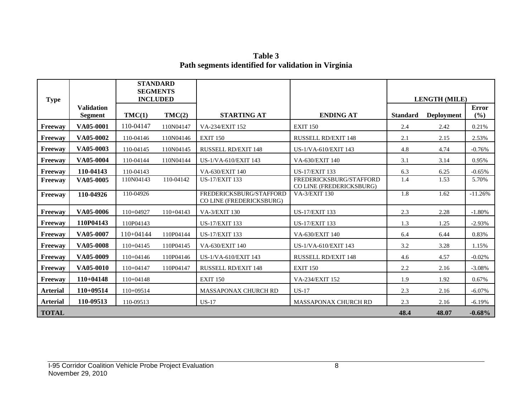**Table 3 Path segments identified for validation in Virginia**

| <b>Type</b>     |                                     | <b>STANDARD</b><br><b>SEGMENTS</b><br><b>INCLUDED</b> |             |                                                     |                                                     |                 | <b>LENGTH (MILE)</b> |                     |
|-----------------|-------------------------------------|-------------------------------------------------------|-------------|-----------------------------------------------------|-----------------------------------------------------|-----------------|----------------------|---------------------|
|                 | <b>Validation</b><br><b>Segment</b> | TMC(1)                                                | TMC(2)      | <b>STARTING AT</b>                                  | <b>ENDING AT</b>                                    | <b>Standard</b> | <b>Deployment</b>    | <b>Error</b><br>(%) |
| Freeway         | VA05-0001                           | 110-04147                                             | 110N04147   | VA-234/EXIT 152                                     | <b>EXIT 150</b>                                     | 2.4             | 2.42                 | 0.21%               |
| Freeway         | VA05-0002                           | 110-04146                                             | 110N04146   | <b>EXIT 150</b>                                     | <b>RUSSELL RD/EXIT 148</b>                          | 2.1             | 2.15                 | 2.53%               |
| Freeway         | VA05-0003                           | 110-04145                                             | 110N04145   | <b>RUSSELL RD/EXIT 148</b>                          | US-1/VA-610/EXIT 143                                | 4.8             | 4.74                 | $-0.76%$            |
| Freeway         | VA05-0004                           | 110-04144                                             | 110N04144   | US-1/VA-610/EXIT 143                                | VA-630/EXIT 140                                     | 3.1             | 3.14                 | 0.95%               |
| Freeway         | 110-04143                           | 110-04143                                             |             | VA-630/EXIT 140                                     | <b>US-17/EXIT 133</b>                               | 6.3             | 6.25                 | $-0.65%$            |
| Freeway         | VA05-0005                           | 110N04143                                             | 110-04142   | <b>US-17/EXIT 133</b>                               | FREDERICKSBURG/STAFFORD<br>CO LINE (FREDERICKSBURG) | 1.4             | 1.53                 | 5.70%               |
| Freeway         | 110-04926                           | 110-04926                                             |             | FREDERICKSBURG/STAFFORD<br>CO LINE (FREDERICKSBURG) | <b>VA-3/EXIT 130</b>                                | 1.8             | 1.62                 | $-11.26%$           |
| Freeway         | VA05-0006                           | 110+04927                                             | $110+04143$ | VA-3/EXIT 130                                       | <b>US-17/EXIT 133</b>                               | 2.3             | 2.28                 | $-1.80%$            |
| Freeway         | 110P04143                           | 110P04143                                             |             | <b>US-17/EXIT 133</b>                               | <b>US-17/EXIT 133</b>                               | 1.3             | 1.25                 | $-2.93%$            |
| Freeway         | VA05-0007                           | $110+04144$                                           | 110P04144   | <b>US-17/EXIT 133</b>                               | VA-630/EXIT 140                                     | 6.4             | 6.44                 | 0.83%               |
| Freeway         | VA05-0008                           | 110+04145                                             | 110P04145   | VA-630/EXIT 140                                     | US-1/VA-610/EXIT 143                                | 3.2             | 3.28                 | 1.15%               |
| Freeway         | VA05-0009                           | 110+04146                                             | 110P04146   | US-1/VA-610/EXIT 143                                | <b>RUSSELL RD/EXIT 148</b>                          | 4.6             | 4.57                 | $-0.02%$            |
| Freeway         | VA05-0010                           | $110+04147$                                           | 110P04147   | <b>RUSSELL RD/EXIT 148</b>                          | <b>EXIT 150</b>                                     | 2.2             | 2.16                 | $-3.08%$            |
| Freeway         | $110+04148$                         | 110+04148                                             |             | <b>EXIT 150</b>                                     | VA-234/EXIT 152                                     | 1.9             | 1.92                 | 0.67%               |
| <b>Arterial</b> | 110+09514                           | 110+09514                                             |             | <b>MASSAPONAX CHURCH RD</b>                         | $US-17$                                             | 2.3             | 2.16                 | $-6.07\%$           |
| <b>Arterial</b> | 110-09513                           | 110-09513                                             |             | $US-17$                                             | MASSAPONAX CHURCH RD                                | 2.3             | 2.16                 | $-6.19%$            |
| <b>TOTAL</b>    |                                     |                                                       |             |                                                     |                                                     | 48.4            | 48.07                | $-0.68%$            |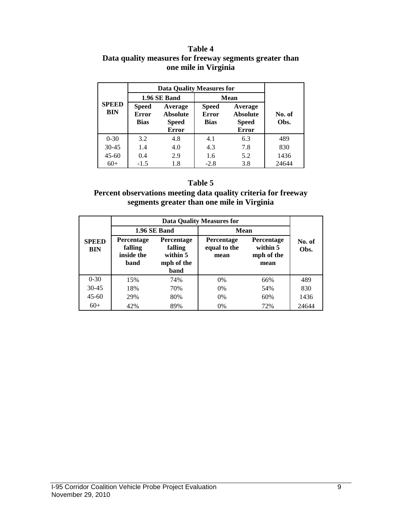#### **Table 4 Data quality measures for freeway segments greater than one mile in Virginia**

|                            |                                             | <b>Data Quality Measures for</b>                           |                                             |                                                            |                |
|----------------------------|---------------------------------------------|------------------------------------------------------------|---------------------------------------------|------------------------------------------------------------|----------------|
|                            |                                             | 1.96 SE Band                                               | <b>Mean</b>                                 |                                                            |                |
| <b>SPEED</b><br><b>BIN</b> | <b>Speed</b><br><b>Error</b><br><b>Bias</b> | Average<br><b>Absolute</b><br><b>Speed</b><br><b>Error</b> | <b>Speed</b><br><b>Error</b><br><b>Bias</b> | Average<br><b>Absolute</b><br><b>Speed</b><br><b>Error</b> | No. of<br>Obs. |
| $0 - 30$                   | 3.2                                         | 4.8                                                        | 4.1                                         | 6.3                                                        | 489            |
| $30 - 45$                  | 1.4                                         | 4.0                                                        | 4.3                                         | 7.8                                                        | 830            |
| $45 - 60$                  | 0.4                                         | 2.9                                                        | 1.6                                         | 5.2                                                        | 1436           |
| $60+$                      | $-1.5$                                      | 1.8                                                        | $-2.8$                                      | 3.8                                                        | 24644          |

#### **Table 5**

#### **Percent observations meeting data quality criteria for freeway segments greater than one mile in Virginia**

|                            |                                                    | <b>Data Quality Measures for</b>                        |                                           |                                                     |                |  |  |  |  |  |
|----------------------------|----------------------------------------------------|---------------------------------------------------------|-------------------------------------------|-----------------------------------------------------|----------------|--|--|--|--|--|
| <b>SPEED</b><br><b>BIN</b> |                                                    | 1.96 SE Band                                            | Mean                                      |                                                     |                |  |  |  |  |  |
|                            | <b>Percentage</b><br>falling<br>inside the<br>band | Percentage<br>falling<br>within 5<br>mph of the<br>band | <b>Percentage</b><br>equal to the<br>mean | <b>Percentage</b><br>within 5<br>mph of the<br>mean | No. of<br>Obs. |  |  |  |  |  |
| $0 - 30$                   | 15%                                                | 74%                                                     | 0%                                        | 66%                                                 | 489            |  |  |  |  |  |
| $30 - 45$                  | 18%                                                | 70%                                                     | 0%                                        | 54%                                                 | 830            |  |  |  |  |  |
| $45 - 60$                  | 29%<br>80%                                         |                                                         | $0\%$                                     | 60%                                                 | 1436           |  |  |  |  |  |
| $60+$                      | 42%                                                | 89%                                                     | 0%                                        | 72%                                                 | 24644          |  |  |  |  |  |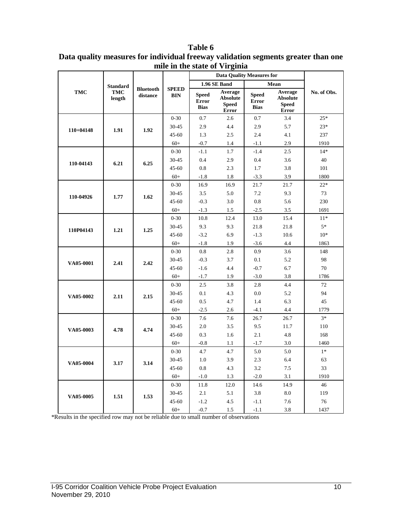|             |                      |                              |                            |                                      | <b>Data Quality Measures for</b>                           |                                      |                                                            |             |
|-------------|----------------------|------------------------------|----------------------------|--------------------------------------|------------------------------------------------------------|--------------------------------------|------------------------------------------------------------|-------------|
|             | <b>Standard</b>      |                              |                            |                                      | 1.96 SE Band                                               |                                      | Mean                                                       |             |
| <b>TMC</b>  | <b>TMC</b><br>length | <b>Bluetooth</b><br>distance | <b>SPEED</b><br><b>BIN</b> | <b>Speed</b><br>Error<br><b>Bias</b> | Average<br><b>Absolute</b><br><b>Speed</b><br><b>Error</b> | <b>Speed</b><br>Error<br><b>Bias</b> | Average<br><b>Absolute</b><br><b>Speed</b><br><b>Error</b> | No. of Obs. |
|             |                      |                              | $0 - 30$                   | 0.7                                  | 2.6                                                        | 0.7                                  | 3.4                                                        | $25*$       |
|             |                      |                              | 30-45                      | 2.9                                  | 4.4                                                        | 2.9                                  | 5.7                                                        | $23*$       |
| $110+04148$ | 1.91                 | 1.92                         | 45-60                      | 1.3                                  | 2.5                                                        | 2.4                                  | 4.1                                                        | 237         |
|             |                      |                              | $60+$                      | $-0.7$                               | 1.4                                                        | $-1.1$                               | 2.9                                                        | 1910        |
|             |                      |                              | $0 - 30$                   | $-1.1$                               | 1.7                                                        | $-1.4$                               | 2.5                                                        | $14*$       |
|             |                      |                              | 30-45                      | 0.4                                  | 2.9                                                        | 0.4                                  | 3.6                                                        | 40          |
| 110-04143   | 6.21                 | 6.25                         | 45-60                      | 0.8                                  | 2.3                                                        | 1.7                                  | 3.8                                                        | 101         |
|             |                      |                              | $60+$                      | $-1.8$                               | 1.8                                                        | $-3.3$                               | 3.9                                                        | 1800        |
|             |                      |                              | $0 - 30$                   | 16.9                                 | 16.9                                                       | 21.7                                 | 21.7                                                       | $22*$       |
| 110-04926   | 1.77                 | 1.62                         | 30-45                      | 3.5                                  | 5.0                                                        | 7.2                                  | 9.3                                                        | 73          |
|             |                      |                              | 45-60                      | $-0.3$                               | 3.0                                                        | 0.8                                  | 5.6                                                        | 230         |
|             |                      |                              | $60+$                      | $-1.3$                               | 1.5                                                        | $-2.5$                               | 3.5                                                        | 1691        |
|             |                      |                              | $0 - 30$                   | 10.8                                 | 12.4                                                       | 13.0                                 | 15.4                                                       | $11*$       |
|             | 1.21                 | 1.25                         | 30-45                      | 9.3                                  | 9.3                                                        | 21.8                                 | 21.8                                                       | $5*$        |
| 110P04143   |                      |                              | 45-60                      | $-3.2$                               | 6.9                                                        | $-1.3$                               | 10.6                                                       | $10*$       |
|             |                      |                              | $60+$                      | $-1.8$                               | 1.9                                                        | $-3.6$                               | 4.4                                                        | 1863        |
|             | 2.41                 |                              | $0 - 30$                   | 0.8                                  | 2.8                                                        | 0.9                                  | 3.6                                                        | 148         |
| VA05-0001   |                      | 2.42                         | 30-45                      | $-0.3$                               | 3.7                                                        | 0.1                                  | 5.2                                                        | 98          |
|             |                      |                              | 45-60                      | $-1.6$                               | 4.4                                                        | $-0.7$                               | 6.7                                                        | 70          |
|             |                      |                              | $60+$                      | $-1.7$                               | 1.9                                                        | $-3.0$                               | 3.8                                                        | 1786        |
|             |                      |                              | $0 - 30$                   | 2.5                                  | 3.8                                                        | 2.8                                  | 4.4                                                        | 72          |
| VA05-0002   | 2.11                 | 2.15                         | 30-45                      | 0.1                                  | 4.3                                                        | 0.0                                  | 5.2                                                        | 94          |
|             |                      |                              | 45-60                      | 0.5                                  | 4.7                                                        | 1.4                                  | 6.3                                                        | 45          |
|             |                      |                              | $60+$                      | $-2.5$                               | 2.6                                                        | $-4.1$                               | 4.4                                                        | 1779        |
|             |                      |                              | $0 - 30$                   | 7.6                                  | 7.6                                                        | 26.7                                 | 26.7                                                       | $3*$        |
| VA05-0003   | 4.78                 | 4.74                         | 30-45                      | 2.0                                  | 3.5                                                        | 9.5                                  | 11.7                                                       | 110         |
|             |                      |                              | 45-60                      | 0.3                                  | 1.6                                                        | 2.1                                  | 4.8                                                        | 168         |
|             |                      |                              | $60+$                      | $-0.8$                               | 1.1                                                        | $-1.7$                               | 3.0                                                        | 1460        |
|             |                      |                              | $0 - 30$                   | 4.7                                  | 4.7                                                        | 5.0                                  | 5.0                                                        | $1\ast$     |
| VA05-0004   | 3.17                 | 3.14                         | 30-45                      | 1.0                                  | 3.9                                                        | 2.3                                  | 6.4                                                        | 63          |
|             |                      |                              | 45-60                      | 0.8                                  | 4.3                                                        | 3.2                                  | 7.5                                                        | 33          |
|             |                      |                              | $60+$                      | $-1.0$                               | 1.3                                                        | $-2.0$                               | 3.1                                                        | 1910        |
|             |                      |                              | $0 - 30$                   | 11.8                                 | 12.0                                                       | 14.6                                 | 14.9                                                       | 46          |
| VA05-0005   | 1.51                 | 1.53                         | 30-45                      | 2.1                                  | 5.1                                                        | 3.8                                  | 8.0                                                        | 119         |
|             |                      |                              | 45-60                      | $-1.2$                               | 4.5                                                        | $-1.1$                               | 7.6                                                        | 76          |
|             |                      |                              | $60+$                      | $-0.7$                               | 1.5                                                        | $-1.1$                               | 3.8                                                        | 1437        |

**Table 6 Data quality measures for individual freeway validation segments greater than one mile in the state of Virginia**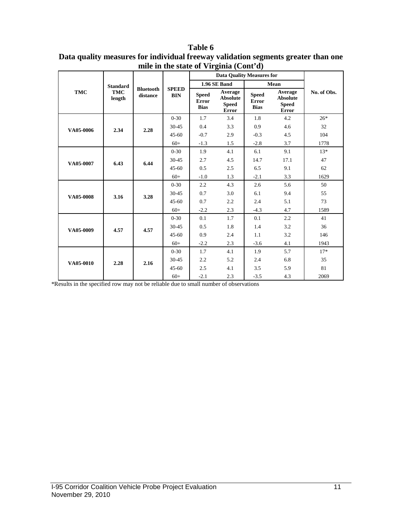| Table 6                                                                           |
|-----------------------------------------------------------------------------------|
| Data quality measures for individual freeway validation segments greater than one |
| mile in the state of Virginia (Cont'd)                                            |

|            |                      |                              |                            |                                      | <b>Data Quality Measures for</b>                           |                                             |                                                            |             |
|------------|----------------------|------------------------------|----------------------------|--------------------------------------|------------------------------------------------------------|---------------------------------------------|------------------------------------------------------------|-------------|
|            | <b>Standard</b>      |                              |                            |                                      | <b>1.96 SE Band</b>                                        |                                             | Mean                                                       |             |
| <b>TMC</b> | <b>TMC</b><br>length | <b>Bluetooth</b><br>distance | <b>SPEED</b><br><b>BIN</b> | <b>Speed</b><br>Error<br><b>Bias</b> | Average<br><b>Absolute</b><br><b>Speed</b><br><b>Error</b> | <b>Speed</b><br><b>Error</b><br><b>Bias</b> | Average<br><b>Absolute</b><br><b>Speed</b><br><b>Error</b> | No. of Obs. |
|            |                      |                              | $0 - 30$                   | 1.7                                  | 3.4                                                        | 1.8                                         | 4.2                                                        | $26*$       |
| VA05-0006  | 2.34                 | 2.28                         | $30 - 45$                  | 0.4                                  | 3.3                                                        | 0.9                                         | 4.6                                                        | 32          |
|            |                      |                              | $45 - 60$                  | $-0.7$                               | 2.9                                                        | $-0.3$                                      | 4.5                                                        | 104         |
|            |                      |                              | $60+$                      | $-1.3$                               | 1.5                                                        | $-2.8$                                      | 3.7                                                        | 1778        |
|            | 6.43                 |                              | $0 - 30$                   | 1.9                                  | 4.1                                                        | 6.1                                         | 9.1                                                        | $13*$       |
| VA05-0007  |                      | 6.44                         | $30 - 45$                  | 2.7                                  | 4.5                                                        | 14.7                                        | 17.1                                                       | 47          |
|            |                      |                              | $45 - 60$                  | 0.5                                  | 2.5                                                        | 6.5                                         | 9.1                                                        | 62          |
|            |                      |                              | $60+$                      | $-1.0$                               | 1.3                                                        | $-2.1$                                      | 3.3                                                        | 1629        |
|            |                      | 3.28                         | $0 - 30$                   | 2.2                                  | 4.3                                                        | 2.6                                         | 5.6                                                        | 50          |
| VA05-0008  | 3.16                 |                              | $30 - 45$                  | 0.7                                  | 3.0                                                        | 6.1                                         | 9.4                                                        | 55          |
|            |                      |                              | $45 - 60$                  | 0.7                                  | 2.2                                                        | 2.4                                         | 5.1                                                        | 73          |
|            |                      |                              | $60+$                      | $-2.2$                               | 2.3                                                        | $-4.3$                                      | 4.7                                                        | 1589        |
|            |                      |                              | $0 - 30$                   | 0.1                                  | 1.7                                                        | 0.1                                         | 2.2                                                        | 41          |
| VA05-0009  | 4.57                 | 4.57                         | $30 - 45$                  | 0.5                                  | 1.8                                                        | 1.4                                         | 3.2                                                        | 36          |
|            |                      |                              | $45 - 60$                  | 0.9                                  | 2.4                                                        | 1.1                                         | 3.2                                                        | 146         |
|            |                      |                              | $60+$                      | $-2.2$                               | 2.3                                                        | $-3.6$                                      | 4.1                                                        | 1943        |
|            |                      |                              | $0 - 30$                   | 1.7                                  | 4.1                                                        | 1.9                                         | 5.7                                                        | $17*$       |
| VA05-0010  | 2.28                 | 2.16                         | $30 - 45$                  | 2.2                                  | 5.2                                                        | 2.4                                         | 6.8                                                        | 35          |
|            |                      |                              | $45-60$                    | 2.5                                  | 4.1                                                        | 3.5                                         | 5.9                                                        | 81          |
|            |                      |                              | $60+$                      | $-2.1$                               | 2.3                                                        | $-3.5$                                      | 4.3                                                        | 2069        |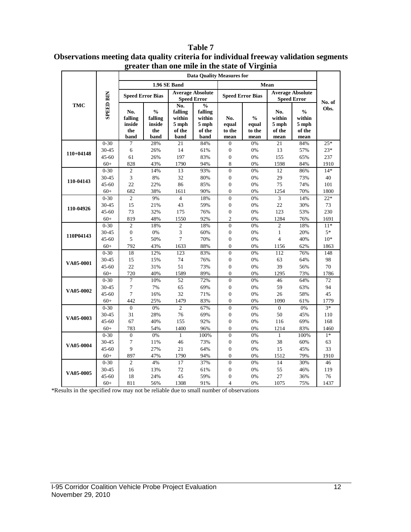|             |                  |                  | инан оне ниге нг иге заате от утгуппа<br><b>Data Quality Measures for</b> |                         |                         |                                    |                         |                         |                 |                |  |  |
|-------------|------------------|------------------|---------------------------------------------------------------------------|-------------------------|-------------------------|------------------------------------|-------------------------|-------------------------|-----------------|----------------|--|--|
|             |                  |                  |                                                                           | 1.96 SE Band            |                         |                                    |                         | Mean                    |                 |                |  |  |
|             |                  |                  |                                                                           |                         | <b>Average Absolute</b> |                                    |                         | <b>Average Absolute</b> |                 |                |  |  |
|             | <b>SPEED BIN</b> |                  | <b>Speed Error Bias</b>                                                   |                         | <b>Speed Error</b>      |                                    | <b>Speed Error Bias</b> | <b>Speed Error</b>      |                 |                |  |  |
| <b>TMC</b>  |                  |                  |                                                                           | No.                     | $\frac{0}{0}$           |                                    |                         |                         |                 | No. of<br>Obs. |  |  |
|             |                  | No.              | $\frac{0}{0}$                                                             | falling                 | falling                 |                                    |                         | No.                     | $\frac{0}{0}$   |                |  |  |
|             |                  | falling          | falling                                                                   | within                  | within                  | No.                                | $\frac{0}{0}$           | within                  | within          |                |  |  |
|             |                  | inside<br>the    | inside<br>the                                                             | 5 mph<br>of the         | 5 mph<br>of the         | equal<br>to the                    | equal<br>to the         | 5 mph<br>of the         | 5 mph<br>of the |                |  |  |
|             |                  | band             | band                                                                      | band                    | band                    | mean                               | mean                    | mean                    | mean            |                |  |  |
|             | $0 - 30$         | 7                | 28%                                                                       | 21                      | 84%                     | $\boldsymbol{0}$                   | 0%                      | 21                      | 84%             | $25*$          |  |  |
|             | 30-45            | $\sqrt{6}$       | 26%                                                                       | 14                      | 61%                     | $\boldsymbol{0}$                   | 0%                      | 13                      | 57%             | $23*$          |  |  |
| $110+04148$ | 45-60            | 61               | 26%                                                                       | 197                     | 83%                     | $\boldsymbol{0}$                   | 0%                      | 155                     | 65%             | 237            |  |  |
|             | $60+$            | 828              | 43%                                                                       | 1790                    | 94%                     | 8                                  | 0%                      | 1598                    | 84%             | 1910           |  |  |
|             | $0 - 30$         | $\sqrt{2}$       | 14%                                                                       | 13                      | 93%                     | $\boldsymbol{0}$                   | 0%                      | 12                      | 86%             | $14*$          |  |  |
| 110-04143   | 30-45            | $\overline{3}$   | $8\%$                                                                     | 32                      | 80%                     | $\boldsymbol{0}$                   | 0%                      | 29                      | 73%             | 40             |  |  |
|             | 45-60            | 22               | 22%                                                                       | 86                      | 85%                     | $\boldsymbol{0}$                   | $0\%$                   | 75                      | 74%             | 101            |  |  |
|             | $60+$            | 682              | 38%                                                                       | 1611                    | 90%                     | $\overline{0}$                     | 0%                      | 1254                    | 70%             | 1800           |  |  |
|             | $0 - 30$         | $\mathfrak{2}$   | 9%                                                                        | $\overline{\mathbf{4}}$ | 18%                     | $\boldsymbol{0}$                   | 0%                      | $\overline{3}$          | 14%             | $22*$          |  |  |
| 110-04926   | 30-45            | 15               | 21%                                                                       | 43                      | 59%                     | $\boldsymbol{0}$                   | 0%                      | 22                      | 30%             | 73             |  |  |
|             | 45-60            | 73               | 32%                                                                       | 175                     | 76%                     | $\boldsymbol{0}$                   | $0\%$                   | 123                     | 53%             | 230            |  |  |
|             | $60+$            | 819              | 48%                                                                       | 1550                    | 92%                     | $\overline{c}$                     | 0%                      | 1284                    | 76%             | 1691           |  |  |
|             | $0 - 30$         | $\sqrt{2}$       | 18%                                                                       | $\mathfrak{2}$          | 18%                     | $\overline{0}$                     | 0%                      | $\mathfrak{2}$          | 18%             | $11*$          |  |  |
| 110P04143   | 30-45            | $\boldsymbol{0}$ | $0\%$                                                                     | 3                       | 60%                     | $\boldsymbol{0}$                   | 0%                      | $\mathbf{1}$            | 20%             | $5*$           |  |  |
|             | $45 - 60$        | 5                | 50%                                                                       | $\tau$                  | 70%                     | $\boldsymbol{0}$                   | 0%                      | $\overline{4}$          | 40%             | $10^{*}$       |  |  |
|             | $60+$            | 792              | 43%                                                                       | 1633                    | 88%                     | $\boldsymbol{0}$                   | 0%                      | 1156                    | 62%             | 1863           |  |  |
|             | $0 - 30$         | 18               | 12%                                                                       | 123                     | 83%                     | $\overline{0}$                     | 0%                      | 112                     | 76%             | 148            |  |  |
| VA05-0001   | 30-45            | 15<br>22         | 15%                                                                       | 74<br>51                | 76%                     | $\boldsymbol{0}$                   | 0%                      | 63<br>39                | 64%             | 98<br>$70\,$   |  |  |
|             | 45-60<br>$60+$   | 720              | 31%<br>40%                                                                | 1589                    | 73%<br>89%              | $\boldsymbol{0}$<br>$\overline{0}$ | 0%<br>0%                |                         | 56%<br>73%      | 1786           |  |  |
|             | $0 - 30$         | $\overline{7}$   | 10%                                                                       | 52                      | 72%                     | $\boldsymbol{0}$                   | $0\%$                   | 1295<br>46              | 64%             | 72             |  |  |
|             | 30-45            | $\tau$           | 7%                                                                        | 65                      | 69%                     | $\boldsymbol{0}$                   | 0%                      | 59                      | 63%             | 94             |  |  |
| VA05-0002   | 45-60            | $\tau$           | 16%                                                                       | 32                      | 71%                     | $\boldsymbol{0}$                   | $0\%$                   | $26\,$                  | 58%             | 45             |  |  |
|             | $60+$            | 442              | 25%                                                                       | 1479                    | 83%                     | $\boldsymbol{0}$                   | 0%                      | 1090                    | 61%             | 1779           |  |  |
|             | $0 - 30$         | $\boldsymbol{0}$ | $0\%$                                                                     | $\mathfrak{2}$          | 67%                     | $\boldsymbol{0}$                   | 0%                      | $\overline{0}$          | $0\%$           | $3*$           |  |  |
|             | 30-45            | 31               | 28%                                                                       | 76                      | 69%                     | $\boldsymbol{0}$                   | 0%                      | 50                      | 45%             | 110            |  |  |
| VA05-0003   | 45-60            | 67               | 40%                                                                       | 155                     | 92%                     | $\boldsymbol{0}$                   | 0%                      | 116                     | 69%             | 168            |  |  |
|             | $60+$            | 783              | 54%                                                                       | 1400                    | 96%                     | $\boldsymbol{0}$                   | 0%                      | 1214                    | 83%             | 1460           |  |  |
|             | $0 - 30$         | $\boldsymbol{0}$ | 0%                                                                        | $\mathbf{1}$            | 100%                    | $\boldsymbol{0}$                   | 0%                      | $\mathbf{1}$            | 100%            | $1*$           |  |  |
|             | 30-45            | $\boldsymbol{7}$ | 11%                                                                       | 46                      | 73%                     | $\boldsymbol{0}$                   | 0%                      | 38                      | 60%             | 63             |  |  |
| VA05-0004   | 45-60            | 9                | 27%                                                                       | 21                      | 64%                     | $\boldsymbol{0}$                   | 0%                      | 15                      | 45%             | 33             |  |  |
|             | $60+$            | 897              | 47%                                                                       | 1790                    | 94%                     | $\overline{0}$                     | 0%                      | 1512                    | 79%             | 1910           |  |  |
|             | $0 - 30$         | $\sqrt{2}$       | $4\%$                                                                     | 17                      | 37%                     | $\boldsymbol{0}$                   | 0%                      | 14                      | 30%             | 46             |  |  |
| VA05-0005   | 30-45            | 16               | 13%                                                                       | $72\,$                  | 61%                     | $\boldsymbol{0}$                   | 0%                      | 55                      | 46%             | 119            |  |  |
|             | 45-60            | 18               | 24%                                                                       | 45                      | 59%                     | $\boldsymbol{0}$                   | 0%                      | 27                      | 36%             | 76             |  |  |
|             | $60+$            | 811              | 56%                                                                       | 1308                    | 91%                     | $\overline{4}$                     | 0%                      | 1075                    | 75%             | 1437           |  |  |

**Table 7 Observations meeting data quality criteria for individual freeway validation segments greater than one mile in the state of Virginia**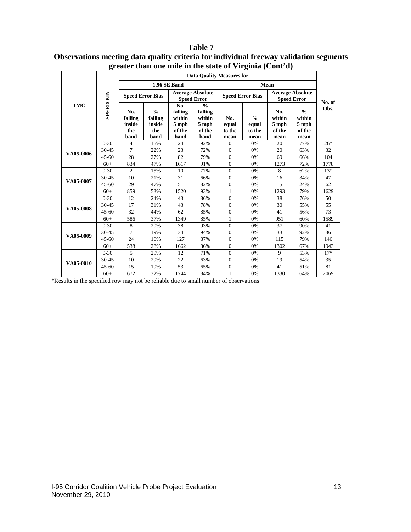|            |                  | greater than one lime in the state or $\mathbf{v}$ regima (Come $\mathbf{u}_k$ ) |                                                   |                                                     | <b>Data Quality Measures for</b>                              |                                |                                          |                                               |                                                    |        |
|------------|------------------|----------------------------------------------------------------------------------|---------------------------------------------------|-----------------------------------------------------|---------------------------------------------------------------|--------------------------------|------------------------------------------|-----------------------------------------------|----------------------------------------------------|--------|
|            |                  |                                                                                  |                                                   | 1.96 SE Band                                        |                                                               |                                |                                          | Mean                                          |                                                    |        |
|            |                  | <b>Speed Error Bias</b>                                                          |                                                   |                                                     | <b>Average Absolute</b><br><b>Speed Error</b>                 | <b>Speed Error Bias</b>        |                                          | <b>Average Absolute</b><br><b>Speed Error</b> |                                                    | No. of |
| <b>TMC</b> | <b>SPEED BIN</b> | No.<br>falling<br>inside<br>the<br>band                                          | $\frac{0}{0}$<br>falling<br>inside<br>the<br>band | No.<br>falling<br>within<br>5 mph<br>of the<br>band | $\frac{0}{0}$<br>falling<br>within<br>5 mph<br>of the<br>band | No.<br>equal<br>to the<br>mean | $\frac{0}{0}$<br>equal<br>to the<br>mean | No.<br>within<br>5 mph<br>of the<br>mean      | $\frac{0}{0}$<br>within<br>5 mph<br>of the<br>mean | Obs.   |
|            | $0 - 30$         | $\overline{4}$                                                                   | 15%                                               | 24                                                  | 92%                                                           | $\mathbf{0}$                   | 0%                                       | 20                                            | 77%                                                | $26*$  |
| VA05-0006  | 30-45            | $\tau$                                                                           | 22%                                               | 23                                                  | 72%                                                           | 0                              | 0%                                       | 20                                            | 63%                                                | 32     |
|            | $45 - 60$        | 28                                                                               | 27%                                               | 82                                                  | 79%                                                           | $\overline{0}$                 | 0%                                       | 69                                            | 66%                                                | 104    |
|            | $60+$            | 834                                                                              | 47%                                               | 1617                                                | 91%                                                           | $\boldsymbol{0}$               | 0%                                       | 1273                                          | 72%                                                | 1778   |
| VA05-0007  | $0 - 30$         | $\mathbf{2}$                                                                     | 15%                                               | 10                                                  | 77%                                                           | $\boldsymbol{0}$               | 0%                                       | 8                                             | 62%                                                | $13*$  |
|            | 30-45            | 10                                                                               | 21%                                               | 31                                                  | 66%                                                           | $\overline{0}$                 | 0%                                       | 16                                            | 34%                                                | 47     |
|            | $45 - 60$        | 29                                                                               | 47%                                               | 51                                                  | 82%                                                           | $\overline{0}$                 | 0%                                       | 15                                            | 24%                                                | 62     |
|            | $60+$            | 859                                                                              | 53%                                               | 1520                                                | 93%                                                           | 1                              | 0%                                       | 1293                                          | 79%                                                | 1629   |
|            | $0 - 30$         | 12                                                                               | 24%                                               | 43                                                  | 86%                                                           | $\overline{0}$                 | 0%                                       | 38                                            | 76%                                                | 50     |
| VA05-0008  | 30-45            | 17                                                                               | 31%                                               | 43                                                  | 78%                                                           | $\boldsymbol{0}$               | 0%                                       | 30                                            | 55%                                                | 55     |
|            | $45 - 60$        | 32                                                                               | 44%                                               | 62                                                  | 85%                                                           | $\overline{0}$                 | 0%                                       | 41                                            | 56%                                                | 73     |
|            | $60+$            | 586                                                                              | 37%                                               | 1349                                                | 85%                                                           | 1                              | 0%                                       | 951                                           | 60%                                                | 1589   |
|            | $0 - 30$         | 8                                                                                | 20%                                               | 38                                                  | 93%                                                           | $\overline{0}$                 | 0%                                       | 37                                            | 90%                                                | 41     |
| VA05-0009  | 30-45            | $\overline{7}$                                                                   | 19%                                               | 34                                                  | 94%                                                           | $\overline{0}$                 | 0%                                       | 33                                            | 92%                                                | 36     |
|            | $45 - 60$        | 24                                                                               | 16%                                               | 127                                                 | 87%                                                           | $\overline{0}$                 | 0%                                       | 115                                           | 79%                                                | 146    |
|            | $60+$            | 538                                                                              | 28%                                               | 1662                                                | 86%                                                           | $\overline{0}$                 | 0%                                       | 1302                                          | 67%                                                | 1943   |
|            | $0 - 30$         | 5                                                                                | 29%                                               | 12                                                  | 71%                                                           | $\mathbf{0}$                   | 0%                                       | 9                                             | 53%                                                | $17*$  |
| VA05-0010  | 30-45            | 10                                                                               | 29%                                               | 22                                                  | 63%                                                           | $\boldsymbol{0}$               | 0%                                       | 19                                            | 54%                                                | 35     |
|            | $45 - 60$        | 15                                                                               | 19%                                               | 53                                                  | 65%                                                           | $\overline{0}$                 | 0%                                       | 41                                            | 51%                                                | 81     |
|            | $60+$            | 672                                                                              | 32%                                               | 1744                                                | 84%                                                           | $\mathbf{1}$                   | 0%                                       | 1330                                          | 64%                                                | 2069   |

#### **Table 7 Observations meeting data quality criteria for individual freeway validation segments greater than one mile in the state of Virginia (Cont'd)**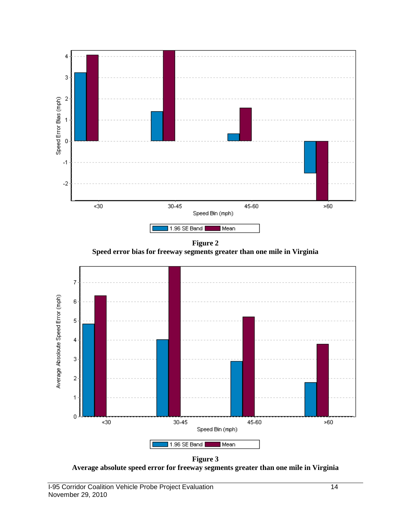

**Figure 2 Speed error bias for freeway segments greater than one mile in Virginia**



**Figure 3 Average absolute speed error for freeway segments greater than one mile in Virginia**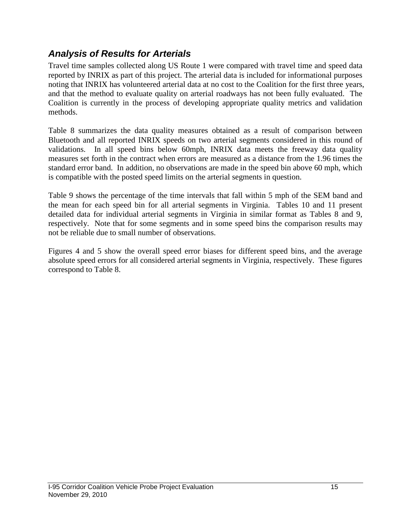### *Analysis of Results for Arterials*

Travel time samples collected along US Route 1 were compared with travel time and speed data reported by INRIX as part of this project. The arterial data is included for informational purposes noting that INRIX has volunteered arterial data at no cost to the Coalition for the first three years, and that the method to evaluate quality on arterial roadways has not been fully evaluated. The Coalition is currently in the process of developing appropriate quality metrics and validation methods.

Table 8 summarizes the data quality measures obtained as a result of comparison between Bluetooth and all reported INRIX speeds on two arterial segments considered in this round of validations. In all speed bins below 60mph, INRIX data meets the freeway data quality measures set forth in the contract when errors are measured as a distance from the 1.96 times the standard error band. In addition, no observations are made in the speed bin above 60 mph, which is compatible with the posted speed limits on the arterial segments in question.

Table 9 shows the percentage of the time intervals that fall within 5 mph of the SEM band and the mean for each speed bin for all arterial segments in Virginia. Tables 10 and 11 present detailed data for individual arterial segments in Virginia in similar format as Tables 8 and 9, respectively. Note that for some segments and in some speed bins the comparison results may not be reliable due to small number of observations.

Figures 4 and 5 show the overall speed error biases for different speed bins, and the average absolute speed errors for all considered arterial segments in Virginia, respectively. These figures correspond to Table 8.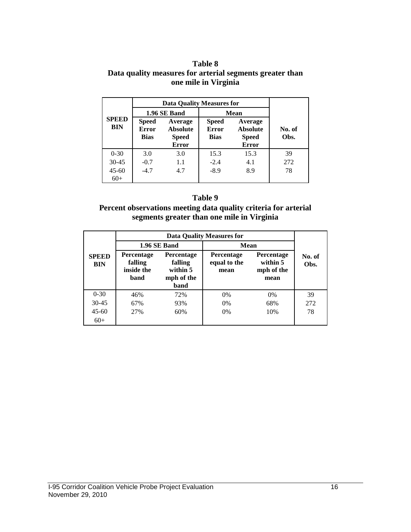#### **Table 8 Data quality measures for arterial segments greater than one mile in Virginia**

|                            | <b>Data Quality Measures for</b>     |                                                            |                                             |                                                            |                |
|----------------------------|--------------------------------------|------------------------------------------------------------|---------------------------------------------|------------------------------------------------------------|----------------|
| <b>SPEED</b><br><b>BIN</b> |                                      | 1.96 SE Band                                               | Mean                                        |                                                            |                |
|                            | <b>Speed</b><br>Error<br><b>Bias</b> | Average<br><b>Absolute</b><br><b>Speed</b><br><b>Error</b> | <b>Speed</b><br><b>Error</b><br><b>Bias</b> | Average<br><b>Absolute</b><br><b>Speed</b><br><b>Error</b> | No. of<br>Obs. |
| $0 - 30$                   | 3.0                                  | 3.0                                                        | 15.3                                        | 15.3                                                       | 39             |
| $30 - 45$                  | $-0.7$                               | 1.1                                                        | $-2.4$                                      | 4.1                                                        | 272            |
| $45 - 60$<br>$60+$         | $-4.7$                               | 4.7                                                        | $-8.9$                                      | 8.9                                                        | 78             |

#### **Table 9**

#### **Percent observations meeting data quality criteria for arterial segments greater than one mile in Virginia**

|                            | <b>Data Quality Measures for</b>            |                                                         |                                           |                                              |                |  |  |
|----------------------------|---------------------------------------------|---------------------------------------------------------|-------------------------------------------|----------------------------------------------|----------------|--|--|
|                            |                                             | 1.96 SE Band                                            | Mean                                      |                                              |                |  |  |
| <b>SPEED</b><br><b>BIN</b> | Percentage<br>falling<br>inside the<br>band | Percentage<br>falling<br>within 5<br>mph of the<br>band | <b>Percentage</b><br>equal to the<br>mean | Percentage<br>within 5<br>mph of the<br>mean | No. of<br>Obs. |  |  |
| $0 - 30$                   | 46%                                         | 72%                                                     | $0\%$                                     | $0\%$                                        | 39             |  |  |
| $30 - 45$                  | 67%                                         | 93%                                                     | 0%                                        | 68%                                          | 272            |  |  |
| $45-60$                    | 27%                                         | 60%                                                     | 0%                                        | 10%                                          | 78             |  |  |
| $60+$                      |                                             |                                                         |                                           |                                              |                |  |  |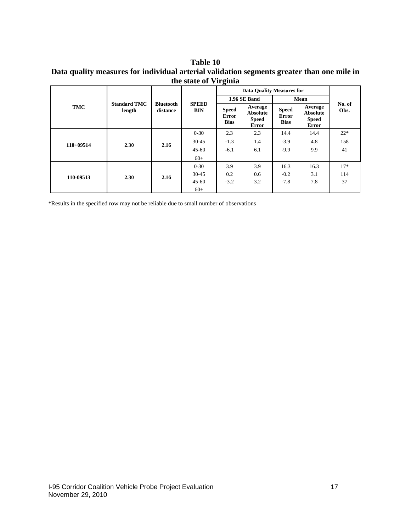#### **Table 10 Data quality measures for individual arterial validation segments greater than one mile in the state of Virginia**

|             |                               |                              | <b>SPEED</b><br><b>BIN</b> | $\circ$<br><b>Data Quality Measures for</b> |                                                            |                                             |                                                     |                |
|-------------|-------------------------------|------------------------------|----------------------------|---------------------------------------------|------------------------------------------------------------|---------------------------------------------|-----------------------------------------------------|----------------|
|             |                               |                              |                            |                                             | 1.96 SE Band                                               | Mean                                        |                                                     |                |
| <b>TMC</b>  | <b>Standard TMC</b><br>length | <b>Bluetooth</b><br>distance |                            | <b>Speed</b><br><b>Error</b><br><b>Bias</b> | Average<br><b>Absolute</b><br><b>Speed</b><br><b>Error</b> | <b>Speed</b><br><b>Error</b><br><b>Bias</b> | Average<br>Absolute<br><b>Speed</b><br><b>Error</b> | No. of<br>Obs. |
|             | 2.30                          | 2.16                         | $0 - 30$                   | 2.3                                         | 2.3                                                        | 14.4                                        | 14.4                                                | $22*$          |
| $110+09514$ |                               |                              | $30 - 45$                  | $-1.3$                                      | 1.4                                                        | $-3.9$                                      | 4.8                                                 | 158            |
|             |                               |                              | $45 - 60$                  | $-6.1$                                      | 6.1                                                        | $-9.9$                                      | 9.9                                                 | 41             |
|             |                               |                              | $60+$                      |                                             |                                                            |                                             |                                                     |                |
|             | 2.30                          | 2.16                         | $0 - 30$                   | 3.9                                         | 3.9                                                        | 16.3                                        | 16.3                                                | $17*$          |
| 110-09513   |                               |                              | $30 - 45$                  | 0.2                                         | 0.6                                                        | $-0.2$                                      | 3.1                                                 | 114            |
|             |                               |                              | $45 - 60$                  | $-3.2$                                      | 3.2                                                        | $-7.8$                                      | 7.8                                                 | 37             |
|             |                               |                              | $60+$                      |                                             |                                                            |                                             |                                                     |                |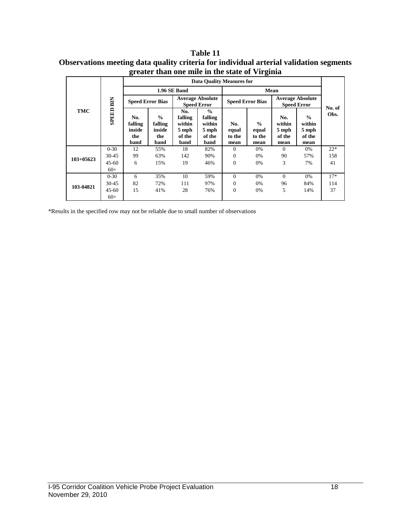| Table 11                                                                               |
|----------------------------------------------------------------------------------------|
| Observations meeting data quality criteria for individual arterial validation segments |
| greater than one mile in the state of Virginia                                         |

| <b>TMC</b>  |                            | <b>Data Ouality Measures for</b>        |                                                   |                                                     |                                                               |                                |                                          |                                               |                                                    |                |
|-------------|----------------------------|-----------------------------------------|---------------------------------------------------|-----------------------------------------------------|---------------------------------------------------------------|--------------------------------|------------------------------------------|-----------------------------------------------|----------------------------------------------------|----------------|
|             | <b>BIN</b><br><b>SPEED</b> | 1.96 SE Band                            |                                                   |                                                     |                                                               | Mean                           |                                          |                                               |                                                    |                |
|             |                            | <b>Speed Error Bias</b>                 |                                                   | <b>Average Absolute</b><br><b>Speed Error</b>       |                                                               | <b>Speed Error Bias</b>        |                                          | <b>Average Absolute</b><br><b>Speed Error</b> |                                                    |                |
|             |                            | No.<br>falling<br>inside<br>the<br>band | $\frac{0}{0}$<br>falling<br>inside<br>the<br>band | No.<br>falling<br>within<br>5 mph<br>of the<br>band | $\frac{0}{0}$<br>falling<br>within<br>5 mph<br>of the<br>band | No.<br>equal<br>to the<br>mean | $\frac{0}{0}$<br>equal<br>to the<br>mean | No.<br>within<br>5 mph<br>of the<br>mean      | $\frac{0}{0}$<br>within<br>5 mph<br>of the<br>mean | No. of<br>Obs. |
|             | $0 - 30$                   | 12                                      | 55%                                               | 18                                                  | 82%                                                           | $\Omega$                       | 0%                                       | $\Omega$                                      | 0%                                                 | $22*$          |
| $103+05623$ | $30 - 45$                  | 99                                      | 63%                                               | 142                                                 | 90%                                                           | $\mathbf{0}$                   | 0%                                       | 90                                            | 57%                                                | 158            |
|             | $45 - 60$                  | 6                                       | 15%                                               | 19                                                  | 46%                                                           | $\Omega$                       | 0%                                       | 3                                             | 7%                                                 | 41             |
|             | $60+$                      |                                         |                                                   |                                                     |                                                               |                                |                                          |                                               |                                                    |                |
| 103-04821   | $0 - 30$                   | 6                                       | 35%                                               | 10                                                  | 59%                                                           | $\Omega$                       | 0%                                       | $\Omega$                                      | 0%                                                 | $17*$          |
|             | $30 - 45$                  | 82                                      | 72%                                               | 111                                                 | 97%                                                           | $\Omega$                       | 0%                                       | 96                                            | 84%                                                | 114            |
|             | $45 - 60$                  | 15                                      | 41%                                               | 28                                                  | 76%                                                           | $\Omega$                       | 0%                                       | 5                                             | 14%                                                | 37             |
|             | $60+$                      |                                         |                                                   |                                                     |                                                               |                                |                                          |                                               |                                                    |                |